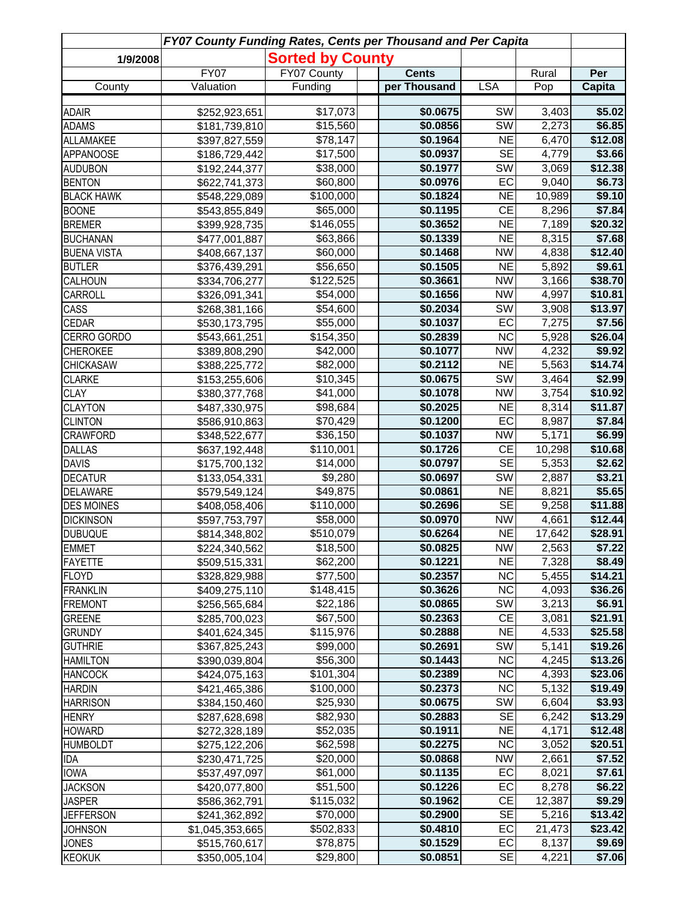| FY07 County Funding Rates, Cents per Thousand and Per Capita |                 |                         |  |              |                        |        |               |  |
|--------------------------------------------------------------|-----------------|-------------------------|--|--------------|------------------------|--------|---------------|--|
| 1/9/2008                                                     |                 | <b>Sorted by County</b> |  |              |                        |        |               |  |
|                                                              | <b>FY07</b>     | FY07 County             |  | <b>Cents</b> |                        | Rural  | Per           |  |
| County                                                       | Valuation       | Funding                 |  | per Thousand | <b>LSA</b>             | Pop    | <b>Capita</b> |  |
| <b>ADAIR</b>                                                 | \$252,923,651   | \$17,073                |  | \$0.0675     | SW                     | 3,403  | \$5.02        |  |
| <b>ADAMS</b>                                                 | \$181,739,810   | \$15,560                |  | \$0.0856     | SW                     | 2,273  | \$6.85        |  |
| ALLAMAKEE                                                    | \$397,827,559   | \$78,147                |  | \$0.1964     | <b>NE</b>              | 6,470  | \$12.08       |  |
| <b>APPANOOSE</b>                                             | \$186,729,442   | \$17,500                |  | \$0.0937     | <b>SE</b>              | 4,779  | \$3.66        |  |
| <b>AUDUBON</b>                                               | \$192,244,377   | \$38,000                |  | \$0.1977     | $\overline{\text{SW}}$ | 3,069  | \$12.38       |  |
| <b>BENTON</b>                                                | \$622,741,373   | \$60,800                |  | \$0.0976     | EC                     | 9,040  | \$6.73        |  |
| <b>BLACK HAWK</b>                                            | \$548,229,089   | \$100,000               |  | \$0.1824     | <b>NE</b>              | 10,989 | \$9.10        |  |
| <b>BOONE</b>                                                 | \$543,855,849   | \$65,000                |  | \$0.1195     | <b>CE</b>              | 8,296  | \$7.84        |  |
| <b>BREMER</b>                                                | \$399,928,735   | \$146,055               |  | \$0.3652     | <b>NE</b>              | 7,189  | \$20.32       |  |
| <b>BUCHANAN</b>                                              | \$477,001,887   | \$63,866                |  | \$0.1339     | <b>NE</b>              | 8,315  | \$7.68        |  |
| <b>BUENA VISTA</b>                                           | \$408,667,137   | \$60,000                |  | \$0.1468     | <b>NW</b>              | 4,838  | \$12.40       |  |
| <b>BUTLER</b>                                                | \$376,439,291   | \$56,650                |  | \$0.1505     | <b>NE</b>              | 5,892  | \$9.61        |  |
| <b>CALHOUN</b>                                               | \$334,706,277   | \$122,525               |  | \$0.3661     | <b>NW</b>              | 3,166  | \$38.70       |  |
| CARROLL                                                      | \$326,091,341   | \$54,000                |  | \$0.1656     | <b>NW</b>              | 4,997  | \$10.81       |  |
| CASS                                                         | \$268,381,166   | \$54,600                |  | \$0.2034     | <b>SW</b>              | 3,908  | \$13.97       |  |
| <b>CEDAR</b>                                                 | \$530,173,795   | \$55,000                |  | \$0.1037     | EC                     | 7,275  | \$7.56        |  |
| CERRO GORDO                                                  | \$543,661,251   | \$154,350               |  | \$0.2839     | $\overline{\text{NC}}$ | 5,928  | \$26.04       |  |
| <b>CHEROKEE</b>                                              | \$389,808,290   | \$42,000                |  | \$0.1077     | $\overline{\text{NW}}$ | 4,232  | \$9.92        |  |
| <b>CHICKASAW</b>                                             | \$388,225,772   | \$82,000                |  | \$0.2112     | N <sub>E</sub>         | 5,563  | \$14.74       |  |
| <b>CLARKE</b>                                                | \$153,255,606   | \$10,345                |  | \$0.0675     | $\overline{\text{SW}}$ | 3,464  | \$2.99        |  |
| <b>CLAY</b>                                                  | \$380,377,768   | \$41,000                |  | \$0.1078     | $\overline{\text{NW}}$ | 3,754  | \$10.92       |  |
| <b>CLAYTON</b>                                               | \$487,330,975   | \$98,684                |  | \$0.2025     | N <sub>E</sub>         | 8,314  | \$11.87       |  |
| <b>CLINTON</b>                                               | \$586,910,863   | \$70,429                |  | \$0.1200     | EC                     | 8,987  | \$7.84        |  |
| <b>CRAWFORD</b>                                              | \$348,522,677   | \$36,150                |  | \$0.1037     | <b>NW</b>              | 5,171  | \$6.99        |  |
| <b>DALLAS</b>                                                | \$637,192,448   | \$110,001               |  | \$0.1726     | <b>CE</b>              | 10,298 | \$10.68       |  |
| <b>DAVIS</b>                                                 | \$175,700,132   | \$14,000                |  | \$0.0797     | <b>SE</b>              | 5,353  | \$2.62        |  |
| <b>DECATUR</b>                                               | \$133,054,331   | \$9,280                 |  | \$0.0697     | SW                     | 2,887  | \$3.21        |  |
| <b>DELAWARE</b>                                              | \$579,549,124   | \$49,875                |  | \$0.0861     | <b>NE</b>              | 8,821  | \$5.65        |  |
| <b>DES MOINES</b>                                            | \$408,058,406   | \$110,000               |  | \$0.2696     | $\overline{\text{SE}}$ | 9,258  | \$11.88       |  |
| <b>DICKINSON</b>                                             | \$597,753,797   | \$58,000                |  | \$0.0970     | <b>NW</b>              | 4,661  | \$12.44       |  |
| <b>DUBUQUE</b>                                               | \$814,348,802   | \$510,079               |  | \$0.6264     | <b>NE</b>              | 17,642 | \$28.91       |  |
| <b>EMMET</b>                                                 | \$224,340,562   | \$18,500                |  | \$0.0825     | <b>NW</b>              | 2,563  | \$7.22        |  |
| <b>FAYETTE</b>                                               | \$509,515,331   | \$62,200                |  | \$0.1221     | <b>NE</b>              | 7,328  | \$8.49        |  |
| <b>FLOYD</b>                                                 | \$328,829,988   | \$77,500                |  | \$0.2357     | <b>NC</b>              | 5,455  | \$14.21       |  |
| <b>FRANKLIN</b>                                              | \$409,275,110   | \$148,415               |  | \$0.3626     | <b>NC</b>              | 4,093  | \$36.26       |  |
| <b>FREMONT</b>                                               | \$256,565,684   | \$22,186                |  | \$0.0865     | SW                     | 3,213  | \$6.91        |  |
| <b>GREENE</b>                                                | \$285,700,023   | \$67,500                |  | \$0.2363     | CE                     | 3,081  | \$21.91       |  |
| <b>GRUNDY</b>                                                | \$401,624,345   | \$115,976               |  | \$0.2888     | <b>NE</b>              | 4,533  | \$25.58       |  |
| <b>GUTHRIE</b>                                               | \$367,825,243   | \$99,000                |  | \$0.2691     | SW                     | 5,141  | \$19.26       |  |
| <b>HAMILTON</b>                                              | \$390,039,804   | \$56,300                |  | \$0.1443     | $\overline{NC}$        | 4,245  | \$13.26       |  |
| <b>HANCOCK</b>                                               | \$424,075,163   | \$101,304               |  | \$0.2389     | <b>NC</b>              | 4,393  | \$23.06       |  |
| <b>HARDIN</b>                                                | \$421,465,386   | \$100,000               |  | \$0.2373     | $\overline{\text{NC}}$ | 5,132  | \$19.49       |  |
| <b>HARRISON</b>                                              | \$384,150,460   | \$25,930                |  | \$0.0675     | SW                     | 6,604  | \$3.93        |  |
| <b>HENRY</b>                                                 | \$287,628,698   | \$82,930                |  | \$0.2883     | SE                     | 6,242  | \$13.29       |  |
| <b>HOWARD</b>                                                | \$272,328,189   | \$52,035                |  | \$0.1911     | NE                     | 4,171  | \$12.48       |  |
| <b>HUMBOLDT</b>                                              | \$275,122,206   | \$62,598                |  | \$0.2275     | $\overline{NC}$        | 3,052  | \$20.51       |  |
| <b>IDA</b>                                                   | \$230,471,725   | \$20,000                |  | \$0.0868     | <b>NW</b>              | 2,661  | \$7.52        |  |
| <b>IOWA</b>                                                  | \$537,497,097   | \$61,000                |  | \$0.1135     | EC                     | 8,021  | \$7.61        |  |
| <b>JACKSON</b>                                               | \$420,077,800   | \$51,500                |  | \$0.1226     | EC                     | 8,278  | \$6.22        |  |
| <b>JASPER</b>                                                | \$586,362,791   | \$115,032               |  | \$0.1962     | <b>CE</b>              | 12,387 | \$9.29        |  |
| <b>JEFFERSON</b>                                             | \$241,362,892   | \$70,000                |  | \$0.2900     | <b>SE</b>              | 5,216  | \$13.42       |  |
| <b>JOHNSON</b>                                               | \$1,045,353,665 | \$502,833               |  | \$0.4810     | EC                     | 21,473 | \$23.42       |  |
| <b>JONES</b>                                                 | \$515,760,617   | \$78,875                |  | \$0.1529     | EC                     | 8,137  | \$9.69        |  |
| <b>KEOKUK</b>                                                | \$350,005,104   | \$29,800                |  | \$0.0851     | <b>SE</b>              | 4,221  | \$7.06        |  |